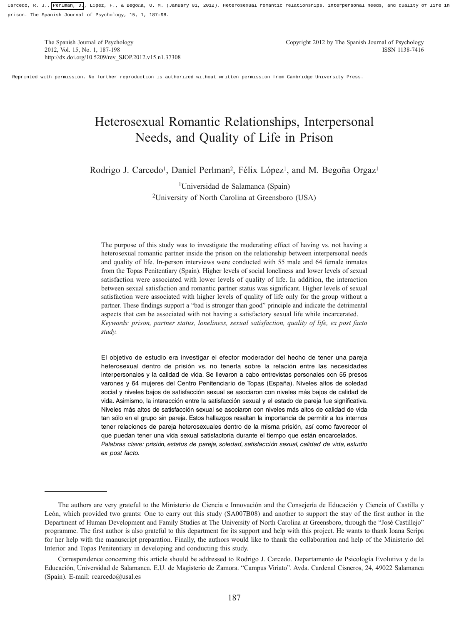Carcedo, R. J., [Perlman, D.,](http://libres.uncg.edu/ir/uncg/clist.aspx?id=1374) López, F., & Begoña, O. M. (January 01, 2012). Heterosexual romantic relationships, interpersonal needs, and quality of life in prison. The Spanish Journal of Psychology, 15, 1, 187-98.

The Spanish Journal of Psychology **Copyright 2012** by The Spanish Journal of Psychology 2012, Vol. 15, No. 1, 187-198 ISSN 1138-7416 [http://dx.doi.org/10.5209/rev\\_SJOP.2012.v15.n1.37308](http://dx.doi.org/10.5209/rev_SJOP.2012.v15.n1.37308)

Reprinted with permission. No further reproduction is authorized without written permission from Cambridge University Press.

# Heterosexual Romantic Relationships, Interpersonal Needs, and Quality of Life in Prison

Rodrigo J. Carcedo<sup>1</sup>, Daniel Perlman<sup>2</sup>, Félix López<sup>1</sup>, and M. Begoña Orgaz<sup>1</sup>

1Universidad de Salamanca (Spain) 2University of North Carolina at Greensboro (USA)

The purpose of this study was to investigate the moderating effect of having vs. not having a heterosexual romantic partner inside the prison on the relationship between interpersonal needs and quality of life. In-person interviews were conducted with 55 male and 64 female inmates from the Topas Penitentiary (Spain). Higher levels of social loneliness and lower levels of sexual satisfaction were associated with lower levels of quality of life. In addition, the interaction between sexual satisfaction and romantic partner status was significant. Higher levels of sexual satisfaction were associated with higher levels of quality of life only for the group without a partner. These findings support a "bad is stronger than good" principle and indicate the detrimental aspects that can be associated with not having a satisfactory sexual life while incarcerated. *Keywords: prison, partner status, loneliness, sexual satisfaction, quality of life, ex post facto study.*

El objetivo de estudio era investigar el efector moderador del hecho de tener una pareja heterosexual dentro de prisión vs. no tenerla sobre la relación entre las necesidades interpersonales y la calidad de vida. Se llevaron a cabo entrevistas personales con 55 presos varones y 64 mujeres del Centro Penitenciario de Topas (España). Niveles altos de soledad social y niveles bajos de satisfacción sexual se asociaron con niveles más bajos de calidad de vida. Asimismo, la interacción entre la satisfacción sexual y el estado de pareja fue significativa. Niveles más altos de satisfacción sexual se asociaron con niveles más altos de calidad de vida tan sólo en el grupo sin pareja. Estos hallazgos resaltan la importancia de permitir a los internos tener relaciones de pareja heterosexuales dentro de la misma prisión, así como favorecer el que puedan tener una vida sexual satisfactoria durante el tiempo que están encarcelados. *Palabras clave: prisión, estatus de pareja, soledad, satisfacción sexual, calidad de vida, estudio ex post facto.*

The authors are very grateful to the Ministerio de Ciencia e Innovación and the Consejería de Educación y Ciencia of Castilla y León, which provided two grants: One to carry out this study (SA007B08) and another to support the stay of the first author in the Department of Human Development and Family Studies at The University of North Carolina at Greensboro, through the "José Castillejo" programme. The first author is also grateful to this department for its support and help with this project. He wants to thank Ioana Scripa for her help with the manuscript preparation. Finally, the authors would like to thank the collaboration and help of the Ministerio del Interior and Topas Penitentiary in developing and conducting this study.

Correspondence concerning this article should be addressed to Rodrigo J. Carcedo. Departamento de Psicología Evolutiva y de la Educación, Universidad de Salamanca. E.U. de Magisterio de Zamora. "Campus Viriato". Avda. Cardenal Cisneros, 24, 49022 Salamanca (Spain). E-mail: [rcarcedo@usal.es](mailto:rcarcedo@usal.es)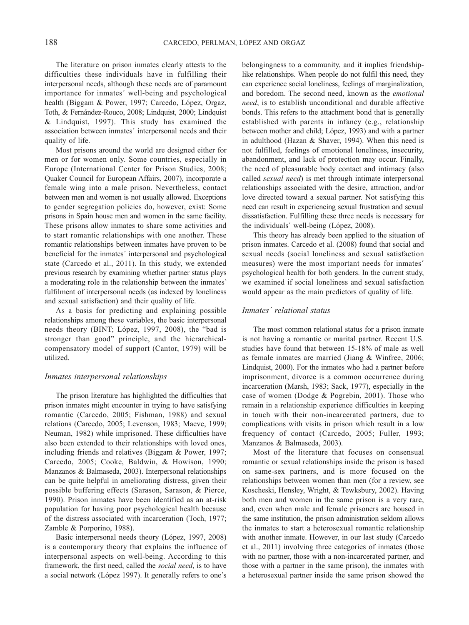The literature on prison inmates clearly attests to the difficulties these individuals have in fulfilling their interpersonal needs, although these needs are of paramount importance for inmates´ well-being and psychological health (Biggam & Power, 1997; Carcedo, López, Orgaz, Toth, & Fernández-Rouco, 2008; Lindquist, 2000; Lindquist & Lindquist, 1997). This study has examined the association between inmates´ interpersonal needs and their quality of life.

Most prisons around the world are designed either for men or for women only. Some countries, especially in Europe (International Center for Prison Studies, 2008; Quaker Council for European Affairs, 2007), incorporate a female wing into a male prison. Nevertheless, contact between men and women is not usually allowed. Exceptions to gender segregation policies do, however, exist: Some prisons in Spain house men and women in the same facility. These prisons allow inmates to share some activities and to start romantic relationships with one another. These romantic relationships between inmates have proven to be beneficial for the inmates´ interpersonal and psychological state (Carcedo et al., 2011). In this study, we extended previous research by examining whether partner status plays a moderating role in the relationship between the inmates' fulfilment of interpersonal needs (as indexed by loneliness and sexual satisfaction) and their quality of life.

As a basis for predicting and explaining possible relationships among these variables, the basic interpersonal needs theory (BINT; López, 1997, 2008), the "bad is stronger than good" principle, and the hierarchicalcompensatory model of support (Cantor, 1979) will be utilized.

#### *Inmates interpersonal relationships*

The prison literature has highlighted the difficulties that prison inmates might encounter in trying to have satisfying romantic (Carcedo, 2005; Fishman, 1988) and sexual relations (Carcedo, 2005; Levenson, 1983; Maeve, 1999; Neuman, 1982) while imprisoned. These difficulties have also been extended to their relationships with loved ones, including friends and relatives (Biggam & Power, 1997; Carcedo, 2005; Cooke, Baldwin, & Howison, 1990; Manzanos & Balmaseda, 2003). Interpersonal relationships can be quite helpful in ameliorating distress, given their possible buffering effects (Sarason, Sarason, & Pierce, 1990). Prison inmates have been identified as an at-risk population for having poor psychological health because of the distress associated with incarceration (Toch, 1977; Zamble & Porporino, 1988).

Basic interpersonal needs theory (López, 1997, 2008) is a contemporary theory that explains the influence of interpersonal aspects on well-being. According to this framework, the first need, called the *social need*, is to have a social network (López 1997). It generally refers to one's belongingness to a community, and it implies friendshiplike relationships. When people do not fulfil this need, they can experience social loneliness, feelings of marginalization, and boredom. The second need, known as the *emotional need*, is to establish unconditional and durable affective bonds. This refers to the attachment bond that is generally established with parents in infancy (e.g., relationship between mother and child; López, 1993) and with a partner in adulthood (Hazan & Shaver, 1994). When this need is not fulfilled, feelings of emotional loneliness, insecurity, abandonment, and lack of protection may occur. Finally, the need of pleasurable body contact and intimacy (also called *sexual need*) is met through intimate interpersonal relationships associated with the desire, attraction, and/or love directed toward a sexual partner. Not satisfying this need can result in experiencing sexual frustration and sexual dissatisfaction. Fulfilling these three needs is necessary for the individuals´ well-being (López, 2008).

This theory has already been applied to the situation of prison inmates. Carcedo et al. (2008) found that social and sexual needs (social loneliness and sexual satisfaction measures) were the most important needs for inmates´ psychological health for both genders. In the current study, we examined if social loneliness and sexual satisfaction would appear as the main predictors of quality of life.

## *Inmates´ relational status*

The most common relational status for a prison inmate is not having a romantic or marital partner. Recent U.S. studies have found that between 15-18% of male as well as female inmates are married (Jiang & Winfree, 2006; Lindquist, 2000). For the inmates who had a partner before imprisonment, divorce is a common occurrence during incarceration (Marsh, 1983; Sack, 1977), especially in the case of women (Dodge & Pogrebin, 2001). Those who remain in a relationship experience difficulties in keeping in touch with their non-incarcerated partners, due to complications with visits in prison which result in a low frequency of contact (Carcedo, 2005; Fuller, 1993; Manzanos & Balmaseda, 2003).

Most of the literature that focuses on consensual romantic or sexual relationships inside the prison is based on same-sex partners, and is more focused on the relationships between women than men (for a review, see Koscheski, Hensley, Wright, & Tewksbury, 2002). Having both men and women in the same prison is a very rare, and, even when male and female prisoners are housed in the same institution, the prison administration seldom allows the inmates to start a heterosexual romantic relationship with another inmate. However, in our last study (Carcedo et al., 2011) involving three categories of inmates (those with no partner, those with a non-incarcerated partner, and those with a partner in the same prison), the inmates with a heterosexual partner inside the same prison showed the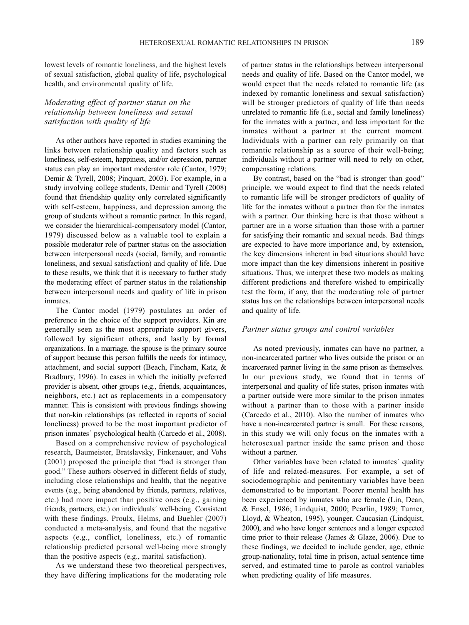lowest levels of romantic loneliness, and the highest levels of sexual satisfaction, global quality of life, psychological health, and environmental quality of life.

# *Moderating effect of partner status on the relationship between loneliness and sexual satisfaction with quality of life*

As other authors have reported in studies examining the links between relationship quality and factors such as loneliness, self-esteem, happiness, and/or depression, partner status can play an important moderator role (Cantor, 1979; Demir & Tyrell, 2008; Pinquart, 2003). For example, in a study involving college students, Demir and Tyrell (2008) found that friendship quality only correlated significantly with self-esteem, happiness, and depression among the group of students without a romantic partner. In this regard, we consider the hierarchical-compensatory model (Cantor, 1979) discussed below as a valuable tool to explain a possible moderator role of partner status on the association between interpersonal needs (social, family, and romantic loneliness, and sexual satisfaction) and quality of life. Due to these results, we think that it is necessary to further study the moderating effect of partner status in the relationship between interpersonal needs and quality of life in prison inmates.

The Cantor model (1979) postulates an order of preference in the choice of the support providers. Kin are generally seen as the most appropriate support givers, followed by significant others, and lastly by formal organizations. In a marriage, the spouse is the primary source of support because this person fulfills the needs for intimacy, attachment, and social support (Beach, Fincham, Katz, & Bradbury, 1996). In cases in which the initially preferred provider is absent, other groups (e.g., friends, acquaintances, neighbors, etc.) act as replacements in a compensatory manner. This is consistent with previous findings showing that non-kin relationships (as reflected in reports of social loneliness) proved to be the most important predictor of prison inmates´ psychological health (Carcedo et al., 2008).

Based on a comprehensive review of psychological research, Baumeister, Bratslavsky, Finkenauer, and Vohs (2001) proposed the principle that "bad is stronger than good." These authors observed in different fields of study, including close relationships and health, that the negative events (e.g., being abandoned by friends, partners, relatives, etc.) had more impact than positive ones (e.g., gaining friends, partners, etc.) on individuals´ well-being. Consistent with these findings, Proulx, Helms, and Buehler (2007) conducted a meta-analysis, and found that the negative aspects (e.g., conflict, loneliness, etc.) of romantic relationship predicted personal well-being more strongly than the positive aspects (e.g., marital satisfaction).

As we understand these two theoretical perspectives, they have differing implications for the moderating role of partner status in the relationships between interpersonal needs and quality of life. Based on the Cantor model, we would expect that the needs related to romantic life (as indexed by romantic loneliness and sexual satisfaction) will be stronger predictors of quality of life than needs unrelated to romantic life (i.e., social and family loneliness) for the inmates with a partner, and less important for the inmates without a partner at the current moment. Individuals with a partner can rely primarily on that romantic relationship as a source of their well-being; individuals without a partner will need to rely on other, compensating relations.

By contrast, based on the "bad is stronger than good" principle, we would expect to find that the needs related to romantic life will be stronger predictors of quality of life for the inmates without a partner than for the inmates with a partner. Our thinking here is that those without a partner are in a worse situation than those with a partner for satisfying their romantic and sexual needs. Bad things are expected to have more importance and, by extension, the key dimensions inherent in bad situations should have more impact than the key dimensions inherent in positive situations. Thus, we interpret these two models as making different predictions and therefore wished to empirically test the form, if any, that the moderating role of partner status has on the relationships between interpersonal needs and quality of life.

## *Partner status groups and control variables*

As noted previously, inmates can have no partner, a non-incarcerated partner who lives outside the prison or an incarcerated partner living in the same prison as themselves. In our previous study, we found that in terms of interpersonal and quality of life states, prison inmates with a partner outside were more similar to the prison inmates without a partner than to those with a partner inside (Carcedo et al., 2010). Also the number of inmates who have a non-incarcerated partner is small. For these reasons, in this study we will only focus on the inmates with a heterosexual partner inside the same prison and those without a partner.

Other variables have been related to inmates´ quality of life and related-measures. For example, a set of sociodemographic and penitentiary variables have been demonstrated to be important. Poorer mental health has been experienced by inmates who are female (Lin, Dean, & Ensel, 1986; Lindquist, 2000; Pearlin, 1989; Turner, Lloyd, & Wheaton, 1995), younger, Caucasian (Lindquist, 2000), and who have longer sentences and a longer expected time prior to their release (James & Glaze, 2006). Due to these findings, we decided to include gender, age, ethnic group-nationality, total time in prison, actual sentence time served, and estimated time to parole as control variables when predicting quality of life measures.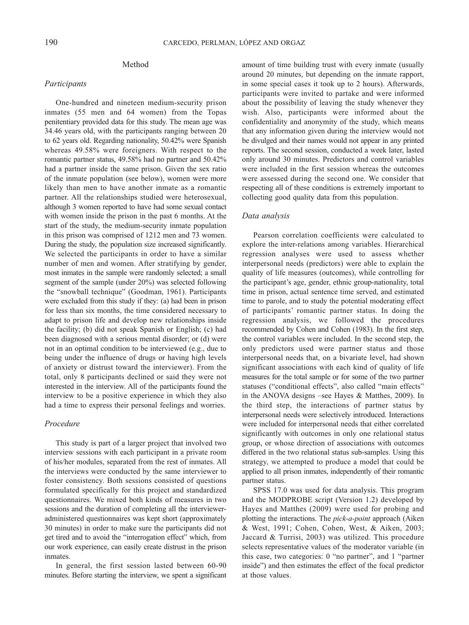## Method

## *Participants*

One-hundred and nineteen medium-security prison inmates (55 men and 64 women) from the Topas penitentiary provided data for this study. The mean age was 34.46 years old, with the participants ranging between 20 to 62 years old. Regarding nationality, 50.42% were Spanish whereas 49.58% were foreigners. With respect to the romantic partner status, 49.58% had no partner and 50.42% had a partner inside the same prison. Given the sex ratio of the inmate population (see below), women were more likely than men to have another inmate as a romantic partner. All the relationships studied were heterosexual, although 3 women reported to have had some sexual contact with women inside the prison in the past 6 months. At the start of the study, the medium-security inmate population in this prison was comprised of 1212 men and 73 women. During the study, the population size increased significantly. We selected the participants in order to have a similar number of men and women. After stratifying by gender, most inmates in the sample were randomly selected; a small segment of the sample (under 20%) was selected following the "snowball technique" (Goodman, 1961). Participants were excluded from this study if they: (a) had been in prison for less than six months, the time considered necessary to adapt to prison life and develop new relationships inside the facility; (b) did not speak Spanish or English; (c) had been diagnosed with a serious mental disorder; or (d) were not in an optimal condition to be interviewed (e.g., due to being under the influence of drugs or having high levels of anxiety or distrust toward the interviewer). From the total, only 8 participants declined or said they were not interested in the interview. All of the participants found the interview to be a positive experience in which they also had a time to express their personal feelings and worries.

## *Procedure*

This study is part of a larger project that involved two interview sessions with each participant in a private room of his/her modules, separated from the rest of inmates. All the interviews were conducted by the same interviewer to foster consistency. Both sessions consisted of questions formulated specifically for this project and standardized questionnaires. We mixed both kinds of measures in two sessions and the duration of completing all the intervieweradministered questionnaires was kept short (approximately 30 minutes) in order to make sure the participants did not get tired and to avoid the "interrogation effect" which, from our work experience, can easily create distrust in the prison inmates.

In general, the first session lasted between 60-90 minutes. Before starting the interview, we spent a significant amount of time building trust with every inmate (usually around 20 minutes, but depending on the inmate rapport, in some special cases it took up to 2 hours). Afterwards, participants were invited to partake and were informed about the possibility of leaving the study whenever they wish. Also, participants were informed about the confidentiality and anonymity of the study, which means that any information given during the interview would not be divulged and their names would not appear in any printed reports. The second session, conducted a week later, lasted only around 30 minutes. Predictors and control variables were included in the first session whereas the outcomes were assessed during the second one. We consider that respecting all of these conditions is extremely important to collecting good quality data from this population.

## *Data analysis*

Pearson correlation coefficients were calculated to explore the inter-relations among variables. Hierarchical regression analyses were used to assess whether interpersonal needs (predictors) were able to explain the quality of life measures (outcomes), while controlling for the participant's age, gender, ethnic group-nationality, total time in prison, actual sentence time served, and estimated time to parole, and to study the potential moderating effect of participants' romantic partner status. In doing the regression analysis, we followed the procedures recommended by Cohen and Cohen (1983). In the first step, the control variables were included. In the second step, the only predictors used were partner status and those interpersonal needs that, on a bivariate level, had shown significant associations with each kind of quality of life measures for the total sample or for some of the two partner statuses ("conditional effects", also called "main effects" in the ANOVA designs –see Hayes & Matthes, 2009). In the third step, the interactions of partner status by interpersonal needs were selectively introduced. Interactions were included for interpersonal needs that either correlated significantly with outcomes in only one relational status group, or whose direction of associations with outcomes differed in the two relational status sub-samples. Using this strategy, we attempted to produce a model that could be applied to all prison inmates, independently of their romantic partner status.

SPSS 17.0 was used for data analysis. This program and the MODPROBE script (Version 1.2) developed by Hayes and Matthes (2009) were used for probing and plotting the interactions. The *pick-a-point* approach (Aiken & West, 1991; Cohen, Cohen, West, & Aiken, 2003; Jaccard & Turrisi, 2003) was utilized. This procedure selects representative values of the moderator variable (in this case, two categories: 0 "no partner", and 1 "partner inside") and then estimates the effect of the focal predictor at those values.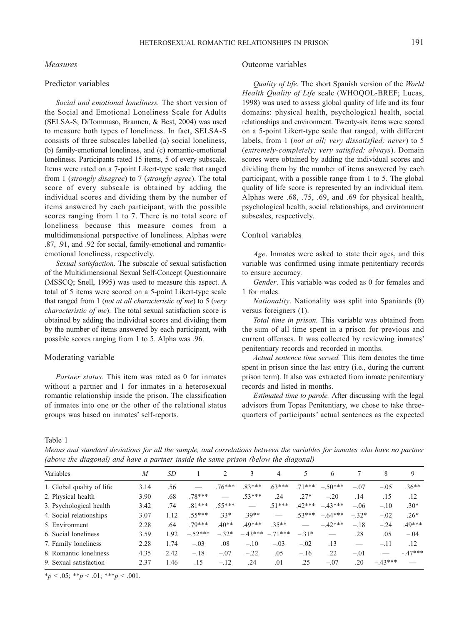### *Measures*

## Predictor variables

*Social and emotional loneliness.* The short version of the Social and Emotional Loneliness Scale for Adults (SELSA-S; DiTommaso, Brannen, & Best, 2004) was used to measure both types of loneliness. In fact, SELSA-S consists of three subscales labelled (a) social loneliness, (b) family-emotional loneliness, and (c) romantic-emotional loneliness. Participants rated 15 items, 5 of every subscale. Items were rated on a 7-point Likert-type scale that ranged from 1 (*strongly disagree*) to 7 (*strongly agree*). The total score of every subscale is obtained by adding the individual scores and dividing them by the number of items answered by each participant, with the possible scores ranging from 1 to 7. There is no total score of loneliness because this measure comes from a multidimensional perspective of loneliness. Alphas were .87, .91, and .92 for social, family-emotional and romanticemotional loneliness, respectively.

*Sexual satisfaction*. The subscale of sexual satisfaction of the Multidimensional Sexual Self-Concept Questionnaire (MSSCQ; Snell, 1995) was used to measure this aspect. A total of 5 items were scored on a 5-point Likert-type scale that ranged from 1 (*not at all characteristic of me*) to 5 (*very characteristic of me*). The total sexual satisfaction score is obtained by adding the individual scores and dividing them by the number of items answered by each participant, with possible scores ranging from 1 to 5. Alpha was .96.

# Moderating variable

*Partner status.* This item was rated as 0 for inmates without a partner and 1 for inmates in a heterosexual romantic relationship inside the prison. The classification of inmates into one or the other of the relational status groups was based on inmates' self-reports.

## Outcome variables

*Quality of life.* The short Spanish version of the *World Health Quality of Life* scale (WHOQOL-BREF; Lucas, 1998) was used to assess global quality of life and its four domains: physical health, psychological health, social relationships and environment. Twenty-six items were scored on a 5-point Likert-type scale that ranged, with different labels, from 1 (*not at all; very dissatisfied; never*) to 5 (*extremely-completely; very satisfied; always*). Domain scores were obtained by adding the individual scores and dividing them by the number of items answered by each participant, with a possible range from 1 to 5. The global quality of life score is represented by an individual item. Alphas were .68, .75, .69, and .69 for physical health, psychological health, social relationships, and environment subscales, respectively.

## Control variables

*Age*. Inmates were asked to state their ages, and this variable was confirmed using inmate penitentiary records to ensure accuracy.

*Gender*. This variable was coded as 0 for females and 1 for males.

*Nationality*. Nationality was split into Spaniards (0) versus foreigners (1).

*Total time in prison.* This variable was obtained from the sum of all time spent in a prison for previous and current offenses. It was collected by reviewing inmates' penitentiary records and recorded in months.

*Actual sentence time served.* This item denotes the time spent in prison since the last entry (i.e., during the current prison term). It also was extracted from inmate penitentiary records and listed in months.

*Estimated time to parole.* After discussing with the legal advisors from Topas Penitentiary, we chose to take threequarters of participants' actual sentences as the expected

#### Table 1

Means and standard deviations for all the sample, and correlations between the variables for inmates who have no partner *(above the diagonal) and have a partner inside the same prison (below the diagonal)*

| $\sim$                    |                |      |           |          |           |           | $\overline{\phantom{0}}$ |           |         |           |           |
|---------------------------|----------------|------|-----------|----------|-----------|-----------|--------------------------|-----------|---------|-----------|-----------|
| Variables                 | $\overline{M}$ | SD   |           |          | 3         | 4         | 5                        | 6         |         | 8         | 9         |
| 1. Global quality of life | 3.14           | .56  |           | $76***$  | $.83***$  | $.63***$  | $71***$                  | $-.50***$ | $-.07$  | $-.05$    | $.36**$   |
| 2. Physical health        | 3.90           | .68  | 78***     |          | $.53***$  | .24       | $.27*$                   | $-.20$    | .14     | .15       | .12       |
| 3. Psychological health   | 3.42           | .74  | $.81***$  | $.55***$ |           | $.51***$  | $.42***$                 | $-.43***$ | $-.06$  | $-.10$    | $.30*$    |
| 4. Social relationships   | 3.07           | 1.12 | $55***$   | $.33*$   | $39**$    |           | $.53***$                 | $-.64***$ | $-.32*$ | $-.02$    | $.26*$    |
| 5. Environment            | 2.28           | .64  | $70***$   | $.40**$  | 49***     | $35**$    |                          | $-.42***$ | $-.18$  | $-.24$    | .49***    |
| 6. Social loneliness      | 3.59           | 1.92 | $-.52***$ | $-.32*$  | $-.43***$ | $-.71***$ | $-.31*$                  |           | .28     | .05       | $-.04$    |
| 7. Family loneliness      | 2.28           | 1.74 | $-.03$    | .08      | $-.10$    | $-.03$    | $-.02$                   | .13       |         | $-.11$    | .12       |
| 8. Romantic loneliness    | 4.35           | 2.42 | $-.18$    | $-.07$   | $-.22$    | .05       | $-.16$                   | .22       | $-.01$  |           | $-.47***$ |
| 9. Sexual satisfaction    | 2.37           | 1.46 | .15       | $-.12$   | .24       | .01       | .25                      | $-.07$    | .20     | $-.43***$ |           |
|                           |                |      |           |          |           |           |                          |           |         |           |           |

 $*_p$  < .05;  $*_p$  < .01;  $**_p$  < .001.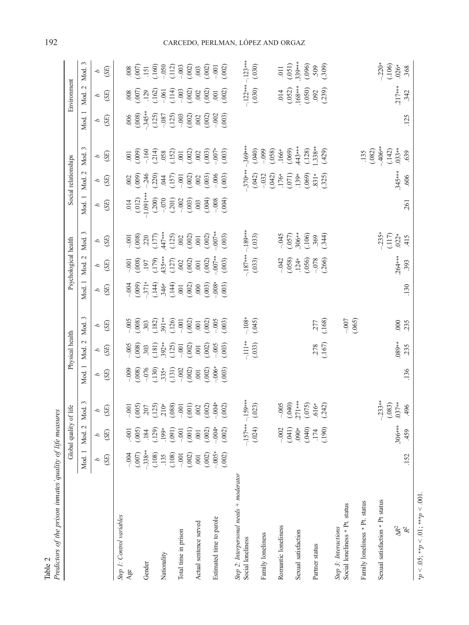|                                                               |                                                              | Global quality of                          | life                                                                      |                                                                 | Physical health                                                                                                                |                                                                                       |                                                                                                                                                          | Psychological health                                                                  |                                                                                                                                                                                                                                                                                                                  |                                                                | Social relationships                                                                    |                                                                                              |                                                          | Environment                                                                                                                                                                                                                                               |                           |
|---------------------------------------------------------------|--------------------------------------------------------------|--------------------------------------------|---------------------------------------------------------------------------|-----------------------------------------------------------------|--------------------------------------------------------------------------------------------------------------------------------|---------------------------------------------------------------------------------------|----------------------------------------------------------------------------------------------------------------------------------------------------------|---------------------------------------------------------------------------------------|------------------------------------------------------------------------------------------------------------------------------------------------------------------------------------------------------------------------------------------------------------------------------------------------------------------|----------------------------------------------------------------|-----------------------------------------------------------------------------------------|----------------------------------------------------------------------------------------------|----------------------------------------------------------|-----------------------------------------------------------------------------------------------------------------------------------------------------------------------------------------------------------------------------------------------------------|---------------------------|
|                                                               |                                                              |                                            |                                                                           |                                                                 |                                                                                                                                |                                                                                       |                                                                                                                                                          |                                                                                       |                                                                                                                                                                                                                                                                                                                  |                                                                |                                                                                         |                                                                                              |                                                          |                                                                                                                                                                                                                                                           |                           |
|                                                               | Mod. 1                                                       | $\mathcal{L}$<br>Mod.                      | od. 3<br>ž                                                                | Mod. 1                                                          | Mod. 2                                                                                                                         | Mod 3                                                                                 | Mod 1                                                                                                                                                    | $Mod. 2$                                                                              | $\mathfrak{c}$<br>Mod.                                                                                                                                                                                                                                                                                           | Mod. 1                                                         | $\mod 2$                                                                                | $\mathfrak{c}$<br>Mod.                                                                       | Mod. 1                                                   | $\mod 2$                                                                                                                                                                                                                                                  | Mod. 3                    |
|                                                               | ς                                                            | ς                                          | $\boldsymbol{q}$                                                          | Δ                                                               | ς                                                                                                                              | ς                                                                                     | ς                                                                                                                                                        | ς                                                                                     | $\mathcal{L}$                                                                                                                                                                                                                                                                                                    | ς                                                              | ς                                                                                       | d                                                                                            | ς                                                        | ς                                                                                                                                                                                                                                                         | ς                         |
|                                                               | (SE)                                                         | (SE)                                       | (SE)                                                                      | SE                                                              | (SE)                                                                                                                           | (SE)                                                                                  | (SE)                                                                                                                                                     | (B)                                                                                   | (SE)                                                                                                                                                                                                                                                                                                             | (SE)                                                           | (SE)                                                                                    | (SE)                                                                                         | (SE)                                                     | (B)                                                                                                                                                                                                                                                       | (SE)                      |
| Step 1: Control variables                                     |                                                              |                                            |                                                                           |                                                                 |                                                                                                                                |                                                                                       |                                                                                                                                                          |                                                                                       |                                                                                                                                                                                                                                                                                                                  |                                                                |                                                                                         |                                                                                              |                                                          |                                                                                                                                                                                                                                                           |                           |
| Age                                                           | $-0.004$                                                     | $-001$                                     |                                                                           | $(-000)$                                                        | $-0.005$                                                                                                                       |                                                                                       |                                                                                                                                                          | $(-000)$                                                                              |                                                                                                                                                                                                                                                                                                                  | (012)                                                          | .002                                                                                    | $\overline{0}0$                                                                              | (0.006)                                                  | $.008$                                                                                                                                                                                                                                                    | $.008$                    |
|                                                               | (.007)                                                       | (005)                                      |                                                                           |                                                                 |                                                                                                                                |                                                                                       |                                                                                                                                                          |                                                                                       |                                                                                                                                                                                                                                                                                                                  |                                                                | (.009)                                                                                  | (000)                                                                                        |                                                          | (.007)                                                                                                                                                                                                                                                    | (007)                     |
| Gender                                                        | $-338**$                                                     | .184                                       |                                                                           |                                                                 |                                                                                                                                |                                                                                       |                                                                                                                                                          |                                                                                       |                                                                                                                                                                                                                                                                                                                  |                                                                |                                                                                         |                                                                                              |                                                          |                                                                                                                                                                                                                                                           |                           |
| Nationality                                                   | (.108)                                                       |                                            |                                                                           |                                                                 |                                                                                                                                |                                                                                       |                                                                                                                                                          |                                                                                       |                                                                                                                                                                                                                                                                                                                  |                                                                |                                                                                         |                                                                                              |                                                          |                                                                                                                                                                                                                                                           |                           |
|                                                               | $\begin{array}{c} .135 \\ .108 \\ -.001 \\ .002 \end{array}$ | $(.129)$<br>$(.99*$<br>$(.001)$<br>$-.001$ | $-0.001$<br>$(0.005)$<br>$(0.005)$<br>$(0.005)$<br>$(0.005)$<br>$(0.005)$ | $-076$<br>$(.130)$<br>$.335*$<br>$(.131)$<br>$-002$<br>$(.002)$ |                                                                                                                                |                                                                                       | $-0.004$<br>$-0.009$<br>$-371*$<br>$-374*$<br>$-346*$<br>$-1.44$<br>$-1.44$<br>$-1.44$<br>$-1.44$<br>$-1.44$<br>$-1.44$<br>$-1.44$<br>$-1.44$<br>$-1.44$ |                                                                                       |                                                                                                                                                                                                                                                                                                                  | $1.091**$<br>$(-200)$<br>$(-0.70)$<br>$(-0.002)$<br>$(-0.003)$ |                                                                                         |                                                                                              | $-345$<br>$-125$<br>$-087$<br>$-125$<br>$-003$<br>$-003$ |                                                                                                                                                                                                                                                           |                           |
| Total time in prison                                          |                                                              |                                            |                                                                           |                                                                 |                                                                                                                                |                                                                                       |                                                                                                                                                          |                                                                                       |                                                                                                                                                                                                                                                                                                                  |                                                                |                                                                                         |                                                                                              |                                                          |                                                                                                                                                                                                                                                           |                           |
|                                                               |                                                              | (.001)                                     |                                                                           |                                                                 |                                                                                                                                |                                                                                       |                                                                                                                                                          |                                                                                       |                                                                                                                                                                                                                                                                                                                  |                                                                |                                                                                         |                                                                                              |                                                          |                                                                                                                                                                                                                                                           |                           |
| Actual sentence served                                        | (.002)<br>.001                                               | (.002)<br>$\overline{001}$                 | $(0.001)$<br>$(0.002)$                                                    | (000)                                                           | $(0.008)$ $(0.81)$ $(0.81)$ $(0.81)$ $(0.81)$ $(0.81)$ $(0.81)$ $(0.81)$ $(0.81)$ $(0.81)$ $(0.81)$ $(0.81)$ $(0.81)$ $(0.81)$ | $-0.065$<br>$(0.083)$<br>$(0.82)$<br>$(0.182)$<br>$(0.126)$<br>$(0.002)$<br>$(0.003)$ |                                                                                                                                                          | $(197)$<br>$(179)$<br>$(435**$<br>$(127)$<br>$(002)$<br>$(001)$<br>$(001)$<br>$(007)$ | $\begin{array}{l} -001 \\[-4pt] 0.008) \\[-4pt] 0.008) \\[-4pt] 0.020 \\[-4pt] 0.002) \\[-4pt] 0.002) \\[-4pt] 0.002) \\[-4pt] 0.003) \\[-4pt] 0.003) \\[-4pt] 0.003) \\[-4pt] 0.003) \\[-4pt] 0.003) \\[-4pt] 0.003) \\[-4pt] 0.003) \\[-4pt] 0.003) \\[-4pt] 0.003) \\[-4pt] 0.003) \\[-4pt] 0.003) \\[-4pt] $ | $(0.003)$<br>$(-0.004)$                                        | $-246$<br>$(220)$<br>$(35)$<br>$(45)$<br>$(50)$<br>$(60)$<br>$(60)$<br>$(60)$<br>$(60)$ | $-160$<br>$(214)$<br>$(358)$<br>$(36)$<br>$(30)$<br>$(000)$<br>$(000)$<br>$(000)$<br>$(000)$ | $(002)$<br>$(002)$<br>$(003)$                            | $\begin{array}{l} 23.4 \\ 13.6 \\ 14.6 \\ 15.6 \\ \hline \end{array} \begin{array}{l} 25.6 \\ 25.6 \\ 25.6 \\ \hline \end{array} \begin{array}{l} 25.6 \\ 25.6 \\ 25.6 \\ \hline \end{array} \begin{array}{l} 25.6 \\ 25.6 \\ 25.6 \\ \hline \end{array}$ |                           |
| Estimated time to parole                                      | $-0.005*$                                                    | $-004*$<br>(.002)                          |                                                                           | $-0.06$ *                                                       |                                                                                                                                |                                                                                       |                                                                                                                                                          |                                                                                       |                                                                                                                                                                                                                                                                                                                  |                                                                |                                                                                         |                                                                                              |                                                          |                                                                                                                                                                                                                                                           |                           |
|                                                               | (.002)                                                       |                                            | $-0.004*$<br>(.002)                                                       |                                                                 |                                                                                                                                |                                                                                       |                                                                                                                                                          |                                                                                       |                                                                                                                                                                                                                                                                                                                  |                                                                |                                                                                         |                                                                                              |                                                          |                                                                                                                                                                                                                                                           |                           |
| Step 2: Interpersonal needs + moderators<br>Social loneliness |                                                              | $-157***-159***$                           |                                                                           |                                                                 |                                                                                                                                | $-108*$                                                                               |                                                                                                                                                          | $-187***$                                                                             | $-189***$                                                                                                                                                                                                                                                                                                        |                                                                | $.370***$                                                                               | $-369***$                                                                                    |                                                          |                                                                                                                                                                                                                                                           | $-123***$                 |
|                                                               |                                                              | (.024)                                     | (.023)                                                                    |                                                                 | $-111**$<br>(.033)                                                                                                             | (0.045)                                                                               |                                                                                                                                                          | (.033)                                                                                | (.033)                                                                                                                                                                                                                                                                                                           |                                                                |                                                                                         |                                                                                              |                                                          | $-122***$<br>(.030)                                                                                                                                                                                                                                       | (.030)                    |
| Family loneliness                                             |                                                              |                                            |                                                                           |                                                                 |                                                                                                                                |                                                                                       |                                                                                                                                                          |                                                                                       |                                                                                                                                                                                                                                                                                                                  |                                                                | $(.042)$<br>$-032$<br>$(.042)$<br>$.176*$<br>$.139*$                                    |                                                                                              |                                                          |                                                                                                                                                                                                                                                           |                           |
|                                                               |                                                              |                                            |                                                                           |                                                                 |                                                                                                                                |                                                                                       |                                                                                                                                                          |                                                                                       |                                                                                                                                                                                                                                                                                                                  |                                                                |                                                                                         |                                                                                              |                                                          |                                                                                                                                                                                                                                                           |                           |
| Romantic loneliness                                           |                                                              | (.041)<br>$-002$                           |                                                                           |                                                                 |                                                                                                                                |                                                                                       |                                                                                                                                                          |                                                                                       |                                                                                                                                                                                                                                                                                                                  |                                                                |                                                                                         |                                                                                              |                                                          |                                                                                                                                                                                                                                                           |                           |
| Sexual satisfaction                                           |                                                              | $.090*$                                    |                                                                           |                                                                 |                                                                                                                                |                                                                                       |                                                                                                                                                          |                                                                                       |                                                                                                                                                                                                                                                                                                                  |                                                                |                                                                                         |                                                                                              |                                                          | $.014$<br>$(.052)$<br>$168***$                                                                                                                                                                                                                            | $(0.051)$<br>339***       |
| Partner status                                                |                                                              | (040)                                      | $-0.005$<br>$(.040)$<br>$.271***$<br>$(.075)$<br>$.616*$<br>$.616*$       |                                                                 |                                                                                                                                |                                                                                       |                                                                                                                                                          | $-042$<br>$(.058)$<br>$.124$<br>$.056$<br>$-078$<br>$-078$                            | $-045$<br>$(057)$<br>$306**$<br>$(369)$<br>$369$<br>$369$                                                                                                                                                                                                                                                        |                                                                | $(069)$<br>$831*$<br>$(325)$                                                            | (.040)<br>$-$ 099<br>(.058)<br>(.058)<br>(.069)<br>(.0429)<br>(.0429)                        |                                                          | $(050)$<br>$(052)$<br>$(239)$                                                                                                                                                                                                                             | $(0.66)$<br>509           |
|                                                               |                                                              | (174)                                      |                                                                           |                                                                 | $.278$<br>(.167)                                                                                                               | $.277$<br>(.168)                                                                      |                                                                                                                                                          |                                                                                       |                                                                                                                                                                                                                                                                                                                  |                                                                |                                                                                         |                                                                                              |                                                          |                                                                                                                                                                                                                                                           |                           |
| Social loneliness * Pt. status<br>Step 3: Interactions        |                                                              |                                            |                                                                           |                                                                 |                                                                                                                                | $-0.007$<br>(.065)                                                                    |                                                                                                                                                          |                                                                                       |                                                                                                                                                                                                                                                                                                                  |                                                                |                                                                                         |                                                                                              |                                                          |                                                                                                                                                                                                                                                           |                           |
| Family loneliness * Pt. status                                |                                                              |                                            |                                                                           |                                                                 |                                                                                                                                |                                                                                       |                                                                                                                                                          |                                                                                       |                                                                                                                                                                                                                                                                                                                  |                                                                |                                                                                         | $.135$<br>(.082)                                                                             |                                                          |                                                                                                                                                                                                                                                           |                           |
| Sexual satisfaction * Pt status                               |                                                              |                                            |                                                                           |                                                                 |                                                                                                                                |                                                                                       |                                                                                                                                                          |                                                                                       | $-235*$<br>(.117)<br>022*                                                                                                                                                                                                                                                                                        |                                                                |                                                                                         | $-406**$<br>(.142)<br>(.133**                                                                |                                                          |                                                                                                                                                                                                                                                           | $-220*$<br>(.106)<br>026* |
| $\Delta R^2$                                                  |                                                              | $.306***$                                  | $-233**$<br>(.083)<br>(.083)<br>(.037**                                   |                                                                 | .089**                                                                                                                         | $000$ .                                                                               |                                                                                                                                                          | $264***$                                                                              |                                                                                                                                                                                                                                                                                                                  |                                                                | $.345***$                                                                               |                                                                                              |                                                          | $.217***$                                                                                                                                                                                                                                                 |                           |
| $\mathbb{R}^2$                                                | .152                                                         | 459                                        |                                                                           | .136                                                            | .235                                                                                                                           | .235                                                                                  | .130                                                                                                                                                     | .393                                                                                  | 415                                                                                                                                                                                                                                                                                                              | 261                                                            | .606                                                                                    | 639                                                                                          | 125                                                      | 342                                                                                                                                                                                                                                                       | 368                       |

Table 2<br>*Predictors of the prison imnates' quality of life measures* 

*Predictors of the prison inmates´quality of life measures*

1 9 2

#### CARCEDO, PERLMAN, LÓPEZ AND ORGAZ

 $* p < .05; ** p < .01; ** p < .001.$  $* p < .05; ** p < .01; ** p < .001.$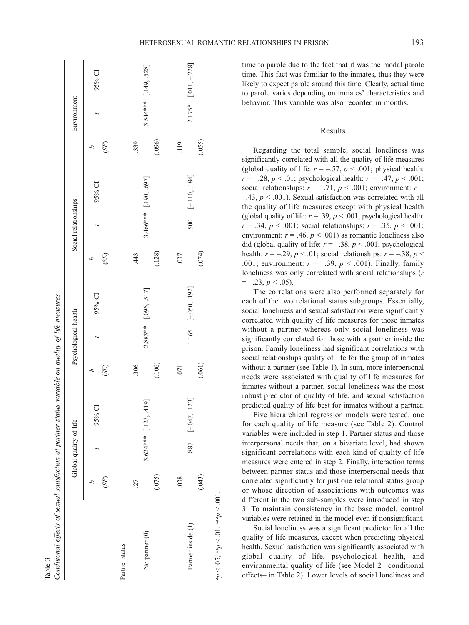| Conditional effects of sexual satisfaction at partner status variable on quality of life measures |        |                        |                         |        |                      |                         |        |                      |                       |        |             |                        |
|---------------------------------------------------------------------------------------------------|--------|------------------------|-------------------------|--------|----------------------|-------------------------|--------|----------------------|-----------------------|--------|-------------|------------------------|
|                                                                                                   |        | Global quality of life |                         |        | Psychological health |                         |        | Social relationships |                       |        | Environment |                        |
|                                                                                                   |        |                        | $95%$ CI                |        |                      | 95% CI                  |        |                      | 95% CI                |        |             | 95% CI                 |
|                                                                                                   | (SE)   |                        |                         | (SE)   |                      |                         | $(SE)$ |                      |                       | (SE)   |             |                        |
| Partner status                                                                                    |        |                        |                         |        |                      |                         |        |                      |                       |        |             |                        |
|                                                                                                   | 271    |                        |                         | 306    |                      |                         | 443    |                      |                       | .339   |             |                        |
| No partner (0)                                                                                    | (.075) |                        | 3.624*** [.123, 419]    | (.106) |                      | 2.883** [.096, .517]    | (.128) |                      | 3.466*** [.190, .697] | (096)  |             | 3.544*** [.149, .528]  |
|                                                                                                   | .038   |                        |                         | .071   |                      |                         | .037   |                      |                       | .119   |             |                        |
| Partner inside (1)                                                                                | (.043) |                        | .123]<br>$.887$ [-.047, | (.061) |                      | $1.165$ $[-.050, .192]$ | (1074) |                      | $[-110, 184]$         | (.055) |             | $2.175*$ [.011, -.228] |
| $*p < .05; **p < .01; **p < .001.$                                                                |        |                        |                         |        |                      |                         |        |                      |                       |        |             |                        |

Table 3

time to parole due to the fact that it was the modal parole time. This fact was familiar to the inmates, thus they were likely to expect parole around this time. Clearly, actual time to parole varies depending on inmates' characteristics and behavior. This variable was also recorded in months.

#### Results

Regarding the total sample, social loneliness was significantly correlated with all the quality of life measures (global quality of life:  $r = -.57$ ,  $p < .001$ ; physical health:  $r = -.28, p < .01$ ; psychological health:  $r = -.47, p < .001$ ; social relationships:  $r = -.71$ ,  $p < .001$ ; environment:  $r =$ –.43, *p* < .001). Sexual satisfaction was correlated with all the quality of life measures except with physical health (global quality of life:  $r = .39$ ,  $p < .001$ ; psychological health:  $r = .34, p < .001$ ; social relationships:  $r = .35, p < .001$ ; environment:  $r = .46$ ,  $p < .001$ ) as romantic loneliness also did (global quality of life:  $r = -.38$ ,  $p < .001$ ; psychological health:  $r = -0.29$ ,  $p < 0.01$ ; social relationships:  $r = -0.38$ ,  $p <$ .001; environment:  $r = -.39$ ,  $p < .001$ ). Finally, family loneliness was only correlated with social relationships (*r*  $=-.23, p < .05$ ).

The correlations were also performed separately for each of the two relational status subgroups. Essentially, social loneliness and sexual satisfaction were significantly correlated with quality of life measures for those inmates without a partner whereas only social loneliness was significantly correlated for those with a partner inside the prison. Family loneliness had significant correlations with social relationships quality of life for the group of inmates without a partner (see Table 1). In sum, more interpersonal needs were associated with quality of life measures for inmates without a partner, social loneliness was the most robust predictor of quality of life, and sexual satisfaction predicted quality of life best for inmates without a partner.

Five hierarchical regression models were tested, one for each quality of life measure (see Table 2). Control variables were included in step 1. Partner status and those interpersonal needs that, on a bivariate level, had shown significant correlations with each kind of quality of life measures were entered in step 2. Finally, interaction terms between partner status and those interpersonal needs that correlated significantly for just one relational status group or whose direction of associations with outcomes was different in the two sub-samples were introduced in step 3. To maintain consistency in the base model, control variables were retained in the model even if nonsignificant.

Social loneliness was a significant predictor for all the quality of life measures, except when predicting physical health. Sexual satisfaction was significantly associated with global quality of life, psychological health, and environmental quality of life (see Model 2 –conditional effects– in Table 2). Lower levels of social loneliness and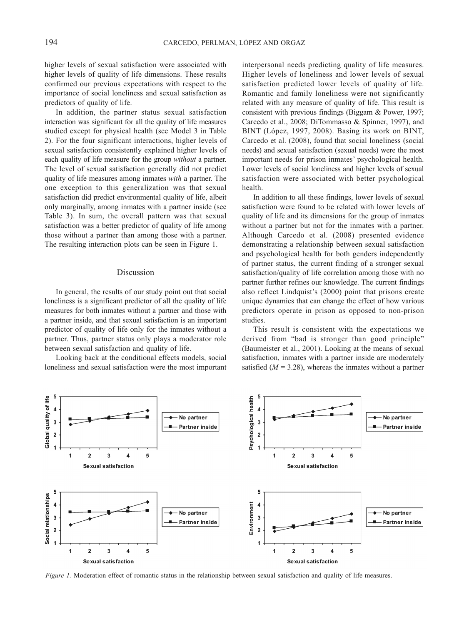higher levels of sexual satisfaction were associated with higher levels of quality of life dimensions. These results confirmed our previous expectations with respect to the importance of social loneliness and sexual satisfaction as predictors of quality of life.

In addition, the partner status sexual satisfaction interaction was significant for all the quality of life measures studied except for physical health (see Model 3 in Table 2). For the four significant interactions, higher levels of sexual satisfaction consistently explained higher levels of each quality of life measure for the group *without* a partner. The level of sexual satisfaction generally did not predict quality of life measures among inmates *with* a partner. The one exception to this generalization was that sexual satisfaction did predict environmental quality of life, albeit only marginally, among inmates with a partner inside (see Table 3). In sum, the overall pattern was that sexual satisfaction was a better predictor of quality of life among those without a partner than among those with a partner. The resulting interaction plots can be seen in Figure 1.

#### Discussion

In general, the results of our study point out that social loneliness is a significant predictor of all the quality of life measures for both inmates without a partner and those with a partner inside, and that sexual satisfaction is an important predictor of quality of life only for the inmates without a partner. Thus, partner status only plays a moderator role between sexual satisfaction and quality of life.

Looking back at the conditional effects models, social loneliness and sexual satisfaction were the most important interpersonal needs predicting quality of life measures. Higher levels of loneliness and lower levels of sexual satisfaction predicted lower levels of quality of life. Romantic and family loneliness were not significantly related with any measure of quality of life. This result is consistent with previous findings (Biggam & Power, 1997; Carcedo et al., 2008; DiTommasso & Spinner, 1997), and BINT (López, 1997, 2008). Basing its work on BINT, Carcedo et al. (2008), found that social loneliness (social needs) and sexual satisfaction (sexual needs) were the most important needs for prison inmates' psychological health. Lower levels of social loneliness and higher levels of sexual satisfaction were associated with better psychological health.

In addition to all these findings, lower levels of sexual satisfaction were found to be related with lower levels of quality of life and its dimensions for the group of inmates without a partner but not for the inmates with a partner. Although Carcedo et al. (2008) presented evidence demonstrating a relationship between sexual satisfaction and psychological health for both genders independently of partner status, the current finding of a stronger sexual satisfaction/quality of life correlation among those with no partner further refines our knowledge. The current findings also reflect Lindquist's (2000) point that prisons create unique dynamics that can change the effect of how various predictors operate in prison as opposed to non-prison studies.

This result is consistent with the expectations we derived from "bad is stronger than good principle" (Baumeister et al., 2001). Looking at the means of sexual satisfaction, inmates with a partner inside are moderately satisfied  $(M = 3.28)$ , whereas the inmates without a partner



*Figure 1.* Moderation effect of romantic status in the relationship between sexual satisfaction and quality of life measures.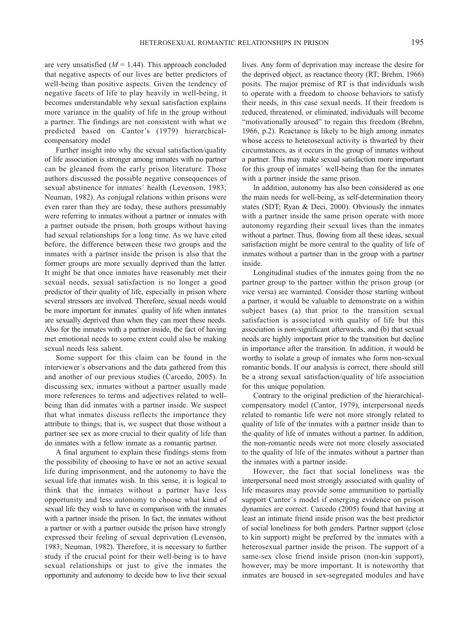are very unsatisfied  $(M = 1.44)$ . This approach concluded that negative aspects of our lives are better predictors of well-being than positive aspects. Given the tendency of negative facets of life to play heavily in well-being, it becomes understandable why sexual satisfaction explains more variance in the quality of life in the group without a partner. The findings are not consistent with what we predicted based on Cantor's (1979) hierarchicalcompensatory model

Further insight into why the sexual satisfaction/quality of life association is stronger among inmates with no partner can be gleaned from the early prison literature. Those authors discussed the possible negative consequences of sexual abstinence for inmates´ health (Levenson, 1983; Neuman, 1982). As conjugal relations within prisons were even rarer than they are today, these authors presumably were referring to inmates without a partner or inmates with a partner outside the prison, both groups without having had sexual relationships for a long time. As we have cited before, the difference between these two groups and the inmates with a partner inside the prison is also that the former groups are more sexually deprived than the latter. It might be that once inmates have reasonably met their sexual needs, sexual satisfaction is no longer a good predictor of their quality of life, especially in prison where several stressors are involved. Therefore, sexual needs would be more important for inmates´ quality of life when inmates are sexually deprived than when they can meet these needs. Also for the inmates with a partner inside, the fact of having met emotional needs to some extent could also be making sexual needs less salient.

Some support for this claim can be found in the interviewer´s observations and the data gathered from this and another of our previous studies (Carcedo, 2005). In discussing sex, inmates without a partner usually made more references to terms and adjectives related to wellbeing than did inmates with a partner inside. We suspect that what inmates discuss reflects the importance they attribute to things; that is, we suspect that those without a partner see sex as more crucial to their quality of life than do inmates with a fellow inmate as a romantic partner.

A final argument to explain these findings stems from the possibility of choosing to have or not an active sexual life during imprisonment, and the autonomy to have the sexual life that inmates wish. In this sense, it is logical to think that the inmates without a partner have less opportunity and less autonomy to choose what kind of sexual life they wish to have in comparison with the inmates with a partner inside the prison. In fact, the inmates without a partner or with a partner outside the prison have strongly expressed their feeling of sexual deprivation (Levenson, 1983; Neuman, 1982). Therefore, it is necessary to further study if the crucial point for their well-being is to have sexual relationships or just to give the inmates the opportunity and autonomy to decide how to live their sexual

lives. Any form of deprivation may increase the desire for the deprived object, as reactance theory (RT; Brehm, 1966) posits. The major premise of RT is that individuals wish to operate with a freedom to choose behaviors to satisfy their needs, in this case sexual needs. If their freedom is reduced, threatened, or eliminated, individuals will become "motivationally aroused" to regain this freedom (Brehm, 1966, p.2). Reactance is likely to be high among inmates whose access to heterosexual activity is thwarted by their circumstances, as it occurs in the group of inmates without a partner. This may make sexual satisfaction more important for this group of inmates´ well-being than for the inmates with a partner inside the same prison.

In addition, autonomy has also been considered as one the main needs for well-being, as self-determination theory states (SDT; Ryan & Deci, 2000). Obviously the inmates with a partner inside the same prison operate with more autonomy regarding their sexual lives than the inmates without a partner. Thus, flowing from all these ideas, sexual satisfaction might be more central to the quality of life of inmates without a partner than in the group with a partner inside.

Longitudinal studies of the inmates going from the no partner group to the partner within the prison group (or vice versa) are warranted. Consider those starting without a partner, it would be valuable to demonstrate on a within subject bases (a) that prior to the transition sexual satisfaction is associated with quality of life but this association is non-significant afterwards, and (b) that sexual needs are highly important prior to the transition but decline in importance after the transition. In addition, it would be worthy to isolate a group of inmates who form non-sexual romantic bonds. If our analysis is correct, there should still be a strong sexual satisfaction/quality of life association for this unique population.

Contrary to the original prediction of the hierarchicalcompensatory model (Cantor, 1979), interpersonal needs related to romantic life were not more strongly related to quality of life of the inmates with a partner inside than to the quality of life of inmates without a partner. In addition, the non-romantic needs were not more closely associated to the quality of life of the inmates without a partner than the inmates with a partner inside.

However, the fact that social loneliness was the interpersonal need most strongly associated with quality of life measures may provide some ammunition to partially support Cantor´s model if emerging evidence on prison dynamics are correct. Carcedo (2005) found that having at least an intimate friend inside prison was the best predictor of social loneliness for both genders. Partner support (close to kin support) might be preferred by the inmates with a heterosexual partner inside the prison. The support of a same-sex close friend inside prison (non-kin support), however, may be more important. It is noteworthy that inmates are housed in sex-segregated modules and have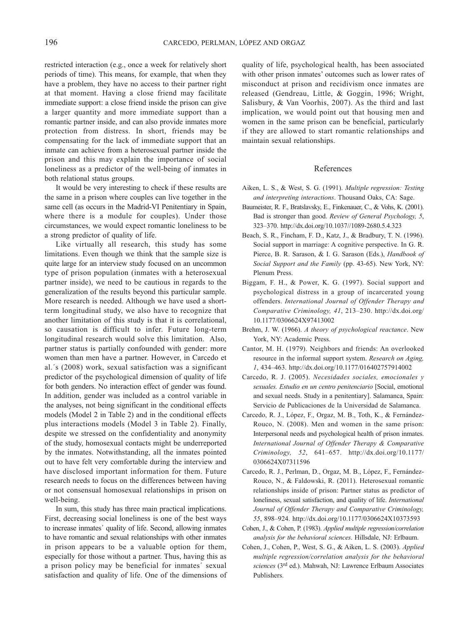restricted interaction (e.g., once a week for relatively short periods of time). This means, for example, that when they have a problem, they have no access to their partner right at that moment. Having a close friend may facilitate immediate support: a close friend inside the prison can give a larger quantity and more immediate support than a romantic partner inside, and can also provide inmates more protection from distress. In short, friends may be compensating for the lack of immediate support that an inmate can achieve from a heterosexual partner inside the prison and this may explain the importance of social loneliness as a predictor of the well-being of inmates in both relational status groups.

It would be very interesting to check if these results are the same in a prison where couples can live together in the same cell (as occurs in the Madrid-VI Penitentiary in Spain, where there is a module for couples). Under those circumstances, we would expect romantic loneliness to be a strong predictor of quality of life.

Like virtually all research, this study has some limitations. Even though we think that the sample size is quite large for an interview study focused on an uncommon type of prison population (inmates with a heterosexual partner inside), we need to be cautious in regards to the generalization of the results beyond this particular sample. More research is needed. Although we have used a shortterm longitudinal study, we also have to recognize that another limitation of this study is that it is correlational, so causation is difficult to infer. Future long-term longitudinal research would solve this limitation. Also, partner status is partially confounded with gender: more women than men have a partner. However, in Carcedo et al.´s (2008) work, sexual satisfaction was a significant predictor of the psychological dimension of quality of life for both genders. No interaction effect of gender was found. In addition, gender was included as a control variable in the analyses, not being significant in the conditional effects models (Model 2 in Table 2) and in the conditional effects plus interactions models (Model 3 in Table 2). Finally, despite we stressed on the confidentiality and anonymity of the study, homosexual contacts might be underreported by the inmates. Notwithstanding, all the inmates pointed out to have felt very comfortable during the interview and have disclosed important information for them. Future research needs to focus on the differences between having or not consensual homosexual relationships in prison on well-being.

In sum, this study has three main practical implications. First, decreasing social loneliness is one of the best ways to increase inmates´ quality of life. Second, allowing inmates to have romantic and sexual relationships with other inmates in prison appears to be a valuable option for them, especially for those without a partner. Thus, having this as a prison policy may be beneficial for inmates´ sexual satisfaction and quality of life. One of the dimensions of quality of life, psychological health, has been associated with other prison inmates' outcomes such as lower rates of misconduct at prison and recidivism once inmates are released (Gendreau, Little, & Goggin, 1996; Wright, Salisbury, & Van Voorhis, 2007). As the third and last implication, we would point out that housing men and women in the same prison can be beneficial, particularly if they are allowed to start romantic relationships and maintain sexual relationships.

## References

- Aiken, L. S., & West, S. G. (1991). *Multiple regression: Testing and interpreting interactions*. Thousand Oaks, CA: Sage.
- Baumeister, R. F., Bratslavsky, E., Finkenauer, C., & Vohs, K. (2001). Bad is stronger than good. *Review of General Psychology, 5*, 323–370. <http://dx.doi.org/10.1037//1089-2680.5.4.323>
- Beach, S. R., Fincham, F. D., Katz, J., & Bradbury, T. N. (1996). Social support in marriage: A cognitive perspective. In G. R. Pierce, B. R. Sarason, & I. G. Sarason (Eds.), *Handbook of Social Support and the Family* (pp. 43-65). New York, NY: Plenum Press.
- Biggam, F. H., & Power, K. G. (1997). Social support and psychological distress in a group of incarcerated young offenders. *International Journal of Offender Therapy and Comparative Criminology, 41*, 213–230. [http://dx.doi.org/](http://dx.doi.org/10.1177/0306624X97413002) [10.1177/0306624X97413002](http://dx.doi.org/10.1177/0306624X97413002)
- Brehm, J. W. (1966). *A theory of psychological reactance*. New York, NY: Academic Press.
- Cantor, M. H. (1979). Neighbors and friends: An overlooked resource in the informal support system. *Research on Aging, 1*, 434–463. <http://dx.doi.org/10.1177/016402757914002>
- Carcedo, R. J. (2005). *#ecesidades sociales, emocionales y sexuales. Estudio en un centro penitenciario* [Social, emotional and sexual needs. Study in a penitentiary]. Salamanca, Spain: Servicio de Publicaciones de la Universidad de Salamanca.
- Carcedo, R. J., López, F., Orgaz, M. B., Toth, K., & Fernández-Rouco, N. (2008). Men and women in the same prison: Interpersonal needs and psychological health of prison inmates. *International Journal of Offender Therapy & Comparative Criminology, 52*, 641–657. [http://dx.doi.org/10.1177/](http://dx.doi.org/10.1177/0306624X07311596) [0306624X07311596](http://dx.doi.org/10.1177/0306624X07311596)
- Carcedo, R. J., Perlman, D., Orgaz, M. B., López, F., Fernández-Rouco, N., & Faldowski, R. (2011). Heterosexual romantic relationships inside of prison: Partner status as predictor of loneliness, sexual satisfaction, and quality of life. *International Journal of Offender Therapy and Comparative Criminology, 55*, 898–924. <http://dx.doi.org/10.1177/0306624X10373593>
- Cohen, J., & Cohen, P. (1983). *Applied multiple regression/correlation analysis for the behavioral sciences*. Hillsdale, NJ: Erlbaum.
- Cohen, J., Cohen, P., West, S. G., & Aiken, L. S. (2003). *Applied multiple regression/correlation analysis for the behavioral sciences* (3rd ed.). Mahwah, NJ: Lawrence Erlbaum Associates Publishers.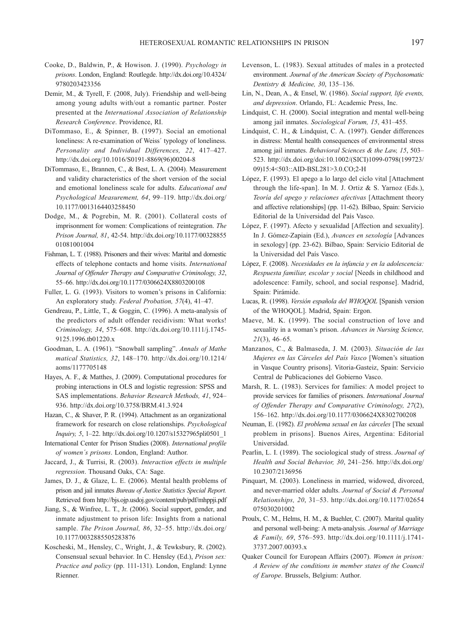- Cooke, D., Baldwin, P., & Howison. J. (1990). *Psychology in prisons*. London, England: Routlegde. [http://dx.doi.org/10.4324/](http://dx.doi.org/10.4324/9780203423356) [9780203423356](http://dx.doi.org/10.4324/9780203423356)
- Demir, M., & Tyrell, F. (2008, July). Friendship and well-being among young adults with/out a romantic partner. Poster presented at the *International Association of Relationship Research Conference*. Providence, RI.
- DiTommaso, E., & Spinner, B. (1997). Social an emotional loneliness: A re-examination of Weiss´ typology of loneliness. *Personality and Individual Differences, 22*, 417–427. [http://dx.doi.org/10.1016/S0191-8869\(96\)00204-8](http://dx.doi.org/10.1016/S0191-8869(96)00204-8)
- DiTommaso, E., Brannen, C., & Best, L. A. (2004). Measurement and validity characteristics of the short version of the social and emotional loneliness scale for adults. *Educational and Psychological Measurement, 64*, 99–119. [http://dx.doi.org/](http://dx.doi.org/10.1177/0013164403258450) [10.1177/0013164403258450](http://dx.doi.org/10.1177/0013164403258450)
- Dodge, M., & Pogrebin, M. R. (2001). Collateral costs of imprisonment for women: Complications of reintegration. *The Prison Journal, 81*, 42-54. [http://dx.doi.org/10.1177/00328855](http://dx.doi.org/10.1177/0032885501081001004) [01081001004](http://dx.doi.org/10.1177/0032885501081001004)
- Fishman, L. T. (1988). Prisoners and their wives: Marital and domestic effects of telephone contacts and home visits. *International Journal of Offender Therapy and Comparative Criminology, 32*, 55–66. <http://dx.doi.org/10.1177/0306624X8803200108>
- Fuller, L. G. (1993). Visitors to women's prisons in California: An exploratory study. *Federal Probation, 57*(4), 41–47.
- Gendreau, P., Little, T., & Goggin, C. (1996). A meta-analysis of the predictors of adult offender recidivism: What works! *Criminology, 34*, 575–608. [http://dx.doi.org/10.1111/j.1745-](http://dx.doi.org/10.1111/j.1745-9125.1996.tb01220.x) [9125.1996.tb01220.x](http://dx.doi.org/10.1111/j.1745-9125.1996.tb01220.x)
- Goodman, L. A. (1961). "Snowball sampling". *Annals of Mathe matical Statistics, 32*, 148–170. [http://dx.doi.org/10.1214/](http://dx.doi.org/10.1214/aoms/1177705148) [aoms/1177705148](http://dx.doi.org/10.1214/aoms/1177705148)
- Hayes, A. F., & Matthes, J. (2009). Computational procedures for probing interactions in OLS and logistic regression: SPSS and SAS implementations. *Behavior Research Methods, 41*, 924– 936. <http://dx.doi.org/10.3758/BRM.41.3.924>
- Hazan, C., & Shaver, P. R. (1994). Attachment as an organizational framework for research on close relationships. *Psychological Inquiry, 5*, 1–22. [http://dx.doi.org/10.1207/s15327965pli0501\\_1](http://dx.doi.org/10.1207/s15327965pli0501_1)
- International Center for Prison Studies (2008). *International profile of women´s prisons*. London, England: Author.
- Jaccard, J., & Turrisi, R. (2003). *Interaction effects in multiple regression*. Thousand Oaks, CA: Sage.
- James, D. J., & Glaze, L. E. (2006). Mental health problems of prison and jail inmates *Bureau of Justice Statistics Special Report.* Retrieved from <http://bjs.ojp.usdoj.gov/content/pub/pdf/mhppji.pdf>
- Jiang, S., & Winfree, L. T., Jr. (2006). Social support, gender, and inmate adjustment to prison life: Insights from a national sample. *The Prison Journal, 86*, 32–55. [http://dx.doi.org/](http://dx.doi.org/10.1177/0032885505283876) [10.1177/0032885505283876](http://dx.doi.org/10.1177/0032885505283876)
- Koscheski, M., Hensley, C., Wright, J., & Tewksbury, R. (2002). Consensual sexual behavior. In C. Hensley (Ed.), *Prison sex: Practice and policy* (pp. 111-131). London, England: Lynne Rienner.
- Levenson, L. (1983). Sexual attitudes of males in a protected environment. *Journal of the American Society of Psychosomatic Dentistry & Medicine, 30*, 135–136.
- Lin, N., Dean, A., & Ensel, W. (1986). *Social support, life events, and depression*. Orlando, FL: Academic Press, Inc.
- Lindquist, C. H. (2000). Social integration and mental well-being among jail inmates. *Sociological Forum, 15*, 431–455.
- Lindquist, C. H., & Lindquist, C. A. (1997). Gender differences in distress: Mental health consequences of environmental stress among jail inmates. *Behavioral Sciences & the Law, 15*, 503– 523. [http://dx.doi.org/doi:10.1002/\(SICI\)1099-0798\(199723/](http://onlinelibrary.wiley.com/doi/10.1002/%28SICI%291099-0798%28199723/09%2915:4%3C503::AID-BSL281%3E3.0.CO;2-H/abstract) [09\)15:4<503::AID-BSL281>3.0.CO;2-H](http://onlinelibrary.wiley.com/doi/10.1002/%28SICI%291099-0798%28199723/09%2915:4%3C503::AID-BSL281%3E3.0.CO;2-H/abstract)
- López, F. (1993). El apego a lo largo del ciclo vital [Attachment through the life-span]. In M. J. Ortiz  $&$  S. Yarnoz (Eds.), *Teoría del apego y relaciones afectivas* [Attachment theory and affective relationships] (pp. 11-62). Bilbao, Spain: Servicio Editorial de la Universidad del País Vasco.
- López, F. (1997). Afecto y sexualidad [Affection and sexuality]. In J. Gómez-Zapiain (Ed.), *Avances en sexología* [Advances in sexology] (pp. 23-62). Bilbao, Spain: Servicio Editorial de la Universidad del País Vasco.
- López, F. (2008). *#ecesidades en la infancia y en la adolescencia: Respuesta familiar, escolar y social* [Needs in childhood and adolescence: Family, school, and social response]. Madrid, Spain: Pirámide.
- Lucas, R. (1998). *Versión española del WHOQOL* [Spanish version of the WHOQOL]. Madrid, Spain: Ergon.
- Maeve, M. K. (1999). The social construction of love and sexuality in a woman's prison. Advances in Nursing Science, *21*(3), 46–65.
- Manzanos, C., & Balmaseda, J. M. (2003). *Situación de las Mujeres en las Cárceles del País Vasco* [Women's situation in Vasque Country prisons]. Vitoria-Gasteiz, Spain: Servicio Central de Publicaciones del Gobierno Vasco.
- Marsh, R. L. (1983). Services for families: A model project to provide services for families of prisoners. *International Journal of Offender Therapy and Comparative Criminology, 27*(2), 156–162. <http://dx.doi.org/10.1177/0306624X8302700208>
- Neuman, E. (1982). *El problema sexual en las cárceles* [The sexual problem in prisons]. Buenos Aires, Argentina: Editorial Universidad.
- Pearlin, L. I. (1989). The sociological study of stress. *Journal of Health and Social Behavior, 30*, 241–256. [http://dx.doi.org/](http://dx.doi.org/10.2307/2136956) [10.2307/2136956](http://dx.doi.org/10.2307/2136956)
- Pinquart, M. (2003). Loneliness in married, widowed, divorced, and never-married older adults. *Journal of Social & Personal Relationships, 20*, 31–53. [http://dx.doi.org/10.1177/02654](http://dx.doi.org/10.1177/02654075030201002) [075030201002](http://dx.doi.org/10.1177/02654075030201002)
- Proulx, C. M., Helms, H. M., & Buehler, C. (2007). Marital quality and personal well-being: A meta-analysis. *Journal of Marriage & Family, 69*, 576–593. [http://dx.doi.org/10.1111/j.1741-](http://dx.doi.org/10.1111/j.1741-3737.2007.00393.x) [3737.2007.00393.x](http://dx.doi.org/10.1111/j.1741-3737.2007.00393.x)
- Quaker Council for European Affairs (2007). *Women in prison: A Review of the conditions in member states of the Council of Europe*. Brussels, Belgium: Author.